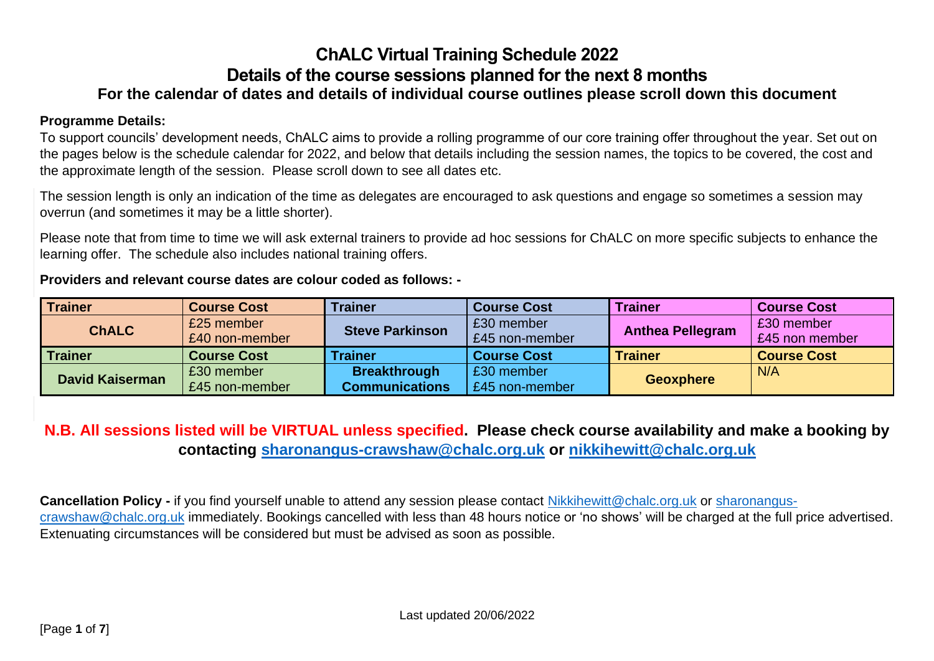### **ChALC Virtual Training Schedule 2022 Details of the course sessions planned for the next 8 months For the calendar of dates and details of individual course outlines please scroll down this document**

#### **Programme Details:**

To support councils' development needs, ChALC aims to provide a rolling programme of our core training offer throughout the year. Set out on the pages below is the schedule calendar for 2022, and below that details including the session names, the topics to be covered, the cost and the approximate length of the session. Please scroll down to see all dates etc.

The session length is only an indication of the time as delegates are encouraged to ask questions and engage so sometimes a session may overrun (and sometimes it may be a little shorter).

Please note that from time to time we will ask external trainers to provide ad hoc sessions for ChALC on more specific subjects to enhance the learning offer. The schedule also includes national training offers.

**Providers and relevant course dates are colour coded as follows: -**

| <b>Trainer</b>         | <b>Course Cost</b> | <b>Trainer</b>         | <b>Course Cost</b>                 | <b>Trainer</b>          | <b>Course Cost</b> |
|------------------------|--------------------|------------------------|------------------------------------|-------------------------|--------------------|
| <b>ChALC</b>           | £25 member         | <b>Steve Parkinson</b> | £30 member                         | <b>Anthea Pellegram</b> | £30 member         |
|                        | £40 non-member     |                        | £45 non-member                     |                         | £45 non member     |
| Trainer                | <b>Course Cost</b> | <b>Trainer</b>         | <b>Course Cost</b>                 | <b>Trainer</b>          | <b>Course Cost</b> |
| <b>David Kaiserman</b> | £30 member         | <b>Breakthrough</b>    | £30 member                         |                         | N/A                |
|                        | £45 non-member     | <b>Communications</b>  | <b>Geoxphere</b><br>£45 non-member |                         |                    |

### **N.B. All sessions listed will be VIRTUAL unless specified. Please check course availability and make a booking by contacting [sharonangus-crawshaw@chalc.org.uk](mailto:sharonangus-crawshaw@chalc.org.uk) or [nikkihewitt@chalc.org.uk](mailto:nikkihewitt@chalc.org.uk)**

**Cancellation Policy -** if you find yourself unable to attend any session please contact [Nikkihewitt@chalc.org.uk](mailto:Nikkihewitt@chalc.org.uk) or [sharonangus](mailto:sharonangus-crawshaw@chalc.org.uk)[crawshaw@chalc.org.uk](mailto:sharonangus-crawshaw@chalc.org.uk) immediately. Bookings cancelled with less than 48 hours notice or 'no shows' will be charged at the full price advertised. Extenuating circumstances will be considered but must be advised as soon as possible.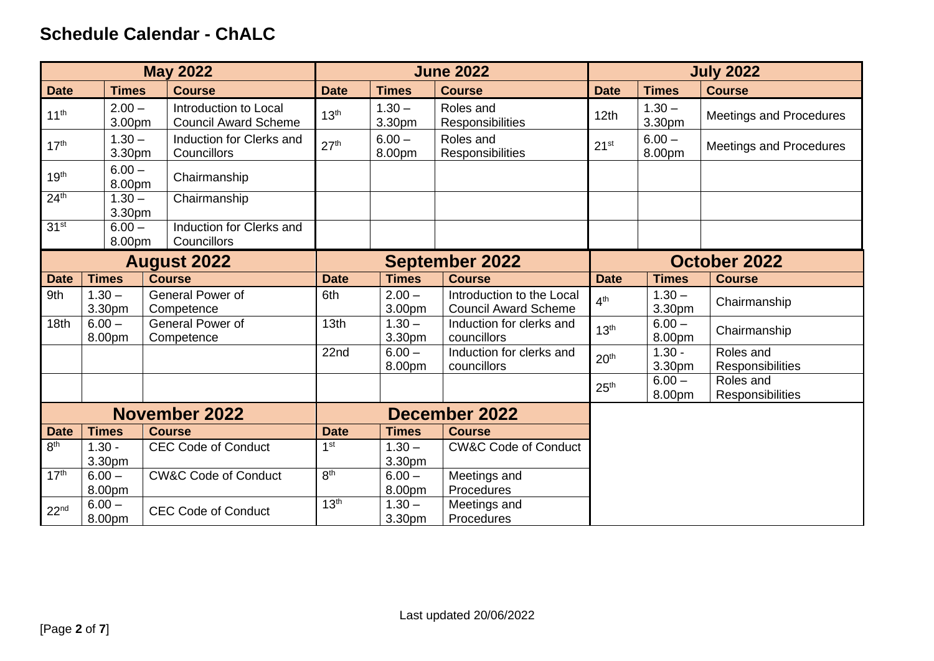## **Schedule Calendar - ChALC**

| <b>May 2022</b>      |                    |                                                      |                  |                    | <b>June 2022</b>                                         |                  | <b>July 2022</b>   |                                |  |
|----------------------|--------------------|------------------------------------------------------|------------------|--------------------|----------------------------------------------------------|------------------|--------------------|--------------------------------|--|
| <b>Date</b>          | <b>Times</b>       | <b>Course</b>                                        | <b>Date</b>      | <b>Times</b>       | <b>Course</b>                                            | <b>Date</b>      | <b>Times</b>       | <b>Course</b>                  |  |
| 11 <sup>th</sup>     | $2.00 -$<br>3.00pm | Introduction to Local<br><b>Council Award Scheme</b> | 13 <sup>th</sup> | $1.30 -$<br>3.30pm | Roles and<br>Responsibilities                            | 12th             | $1.30 -$<br>3.30pm | <b>Meetings and Procedures</b> |  |
| 17 <sup>th</sup>     | $1.30 -$<br>3.30pm | Induction for Clerks and<br>Councillors              | 27 <sup>th</sup> | $6.00 -$<br>8.00pm | Roles and<br>Responsibilities                            | 21 <sup>st</sup> | $6.00 -$<br>8.00pm | <b>Meetings and Procedures</b> |  |
| 19 <sup>th</sup>     | $6.00 -$<br>8.00pm | Chairmanship                                         |                  |                    |                                                          |                  |                    |                                |  |
| 24 <sup>th</sup>     | $1.30 -$<br>3.30pm | Chairmanship                                         |                  |                    |                                                          |                  |                    |                                |  |
| 31 <sup>st</sup>     | $6.00 -$<br>8.00pm | Induction for Clerks and<br>Councillors              |                  |                    |                                                          |                  |                    |                                |  |
| <b>August 2022</b>   |                    | <b>September 2022</b>                                |                  |                    | October 2022                                             |                  |                    |                                |  |
| <b>Date</b>          | <b>Times</b>       | <b>Course</b>                                        | <b>Date</b>      | <b>Times</b>       | <b>Course</b>                                            | <b>Date</b>      | <b>Times</b>       | <b>Course</b>                  |  |
| 9th                  | $1.30 -$<br>3.30pm | General Power of<br>Competence                       | 6th              | $2.00 -$<br>3.00pm | Introduction to the Local<br><b>Council Award Scheme</b> | 4 <sup>th</sup>  | $1.30 -$<br>3.30pm | Chairmanship                   |  |
| 18 <sub>th</sub>     | $6.00 -$<br>8.00pm | General Power of<br>Competence                       | 13 <sub>th</sub> | $1.30 -$<br>3.30pm | Induction for clerks and<br>councillors                  | 13 <sup>th</sup> | $6.00 -$<br>8.00pm | Chairmanship                   |  |
|                      |                    |                                                      | 22 <sub>nd</sub> | $6.00 -$<br>8.00pm | Induction for clerks and<br>councillors                  | 20 <sup>th</sup> | $1.30 -$<br>3.30pm | Roles and<br>Responsibilities  |  |
|                      |                    |                                                      |                  |                    |                                                          | 25 <sup>th</sup> | $6.00 -$<br>8.00pm | Roles and<br>Responsibilities  |  |
| <b>November 2022</b> |                    |                                                      |                  |                    | <b>December 2022</b>                                     |                  |                    |                                |  |
| <b>Date</b>          | <b>Times</b>       | <b>Course</b>                                        | <b>Date</b>      | <b>Times</b>       | <b>Course</b>                                            |                  |                    |                                |  |
| 8 <sup>th</sup>      | $1.30 -$           | <b>CEC Code of Conduct</b>                           | 1 <sup>st</sup>  | $1.30 -$           | <b>CW&amp;C Code of Conduct</b>                          |                  |                    |                                |  |
|                      | 3.30pm             |                                                      |                  | 3.30pm             |                                                          |                  |                    |                                |  |
| 17 <sup>th</sup>     | $6.00 -$           | <b>CW&amp;C Code of Conduct</b>                      | 8 <sup>th</sup>  | $6.00 -$           | Meetings and                                             |                  |                    |                                |  |
|                      | 8.00pm             |                                                      |                  | 8.00pm             | Procedures                                               |                  |                    |                                |  |
| 22 <sub>nd</sub>     | $6.00 -$<br>8.00pm | <b>CEC Code of Conduct</b>                           | 13 <sup>th</sup> | $1.30 -$<br>3.30pm | Meetings and<br>Procedures                               |                  |                    |                                |  |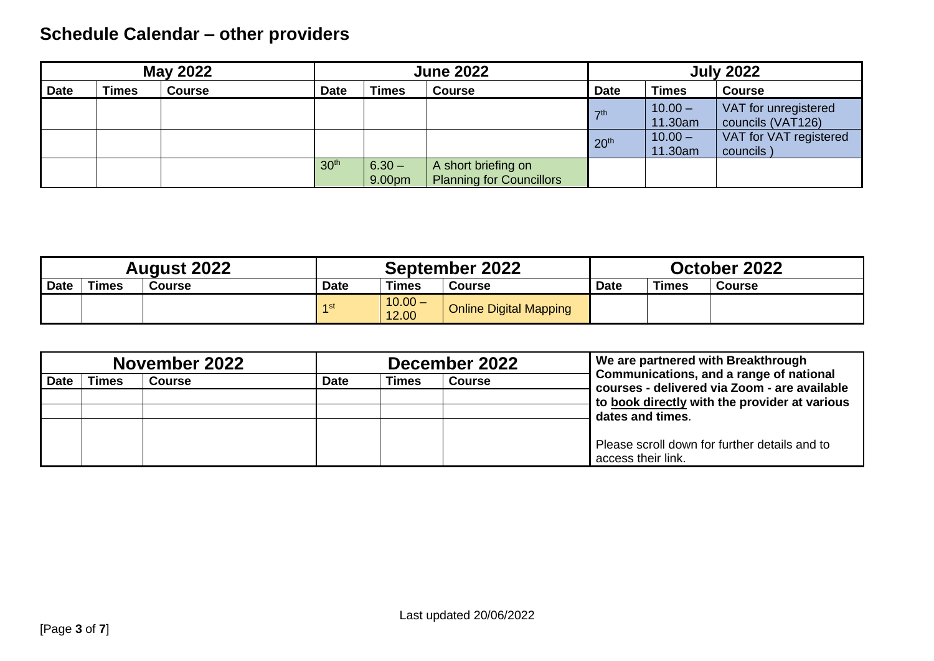# **Schedule Calendar – other providers**

| <b>May 2022</b> |              | <b>June 2022</b> |                  | <b>July 2022</b>   |                                                        |                  |                      |                                           |
|-----------------|--------------|------------------|------------------|--------------------|--------------------------------------------------------|------------------|----------------------|-------------------------------------------|
| <b>Date</b>     | <b>Times</b> | <b>Course</b>    | <b>Date</b>      | <b>Times</b>       | <b>Course</b>                                          | <b>Date</b>      | <b>Times</b>         | <b>Course</b>                             |
|                 |              |                  |                  |                    |                                                        | $\nabla$ th      | $10.00 -$<br>11.30am | VAT for unregistered<br>councils (VAT126) |
|                 |              |                  |                  |                    |                                                        | 20 <sup>th</sup> | $10.00 -$<br>11.30am | VAT for VAT registered<br>councils        |
|                 |              |                  | 30 <sup>th</sup> | $6.30 -$<br>9.00pm | A short briefing on<br><b>Planning for Councillors</b> |                  |                      |                                           |

| <b>August 2022</b> |       | September 2022 |             |                    | October 2022                  |             |              |               |
|--------------------|-------|----------------|-------------|--------------------|-------------------------------|-------------|--------------|---------------|
| Date               | Times | <b>Course</b>  | <b>Date</b> | Times              | <b>Course</b>                 | <b>Date</b> | <b>Times</b> | <b>Course</b> |
|                    |       |                | $-4$ st     | $10.00 -$<br>12.00 | <b>Online Digital Mapping</b> |             |              |               |

| November 2022 |       |               |                                       | December 2022 | We are partnered with Breakthrough |                                                                                         |
|---------------|-------|---------------|---------------------------------------|---------------|------------------------------------|-----------------------------------------------------------------------------------------|
| <b>Date</b>   | Times | <b>Course</b> | Times<br><b>Date</b><br><b>Course</b> |               |                                    | Communications, and a range of national<br>courses - delivered via Zoom - are available |
|               |       |               |                                       |               |                                    | to book directly with the provider at various                                           |
|               |       |               |                                       |               |                                    | dates and times.                                                                        |
|               |       |               |                                       |               |                                    |                                                                                         |
|               |       |               |                                       |               |                                    | Please scroll down for further details and to                                           |
|               |       |               |                                       |               |                                    | access their link.                                                                      |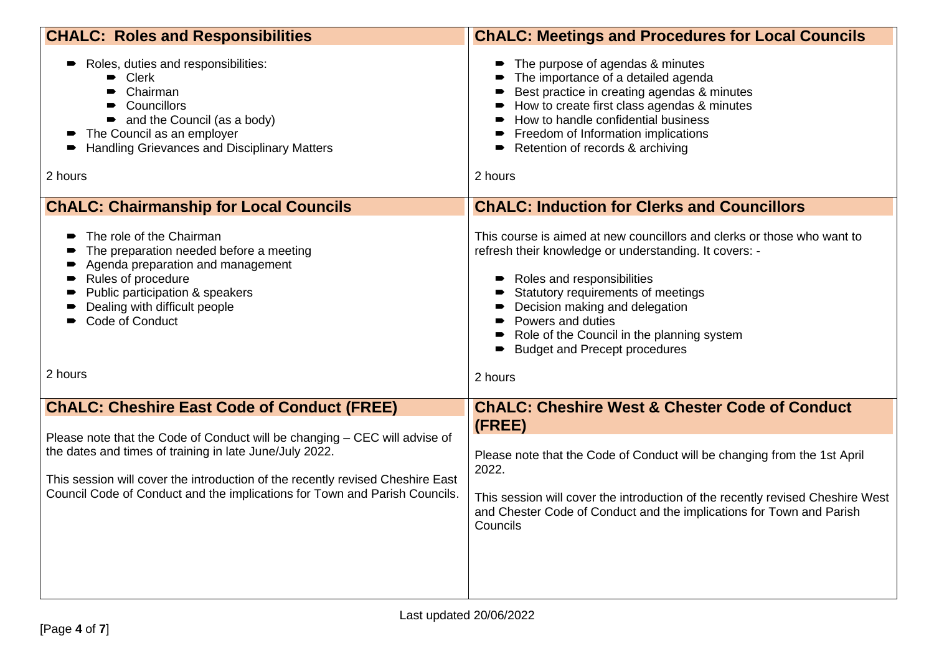| <b>CHALC: Roles and Responsibilities</b>                                                                                                                                                                                                                                                              | <b>ChALC: Meetings and Procedures for Local Councils</b>                                                                                                                                                                                                                                                                                           |
|-------------------------------------------------------------------------------------------------------------------------------------------------------------------------------------------------------------------------------------------------------------------------------------------------------|----------------------------------------------------------------------------------------------------------------------------------------------------------------------------------------------------------------------------------------------------------------------------------------------------------------------------------------------------|
| Roles, duties and responsibilities:<br>• Clerk<br>Chairman<br>• Councillors<br>• and the Council (as a body)<br>The Council as an employer<br>Handling Grievances and Disciplinary Matters<br>2 hours                                                                                                 | The purpose of agendas & minutes<br>The importance of a detailed agenda<br>Best practice in creating agendas & minutes<br>How to create first class agendas & minutes<br>How to handle confidential business<br>Freedom of Information implications<br>Retention of records & archiving<br>2 hours                                                 |
| <b>ChALC: Chairmanship for Local Councils</b>                                                                                                                                                                                                                                                         | <b>ChALC: Induction for Clerks and Councillors</b>                                                                                                                                                                                                                                                                                                 |
| The role of the Chairman<br>The preparation needed before a meeting<br>Agenda preparation and management<br>$\blacksquare$<br>Rules of procedure<br>Public participation & speakers<br>Dealing with difficult people<br>Code of Conduct                                                               | This course is aimed at new councillors and clerks or those who want to<br>refresh their knowledge or understanding. It covers: -<br>Roles and responsibilities<br>Statutory requirements of meetings<br>Decision making and delegation<br>Powers and duties<br>Role of the Council in the planning system<br><b>Budget and Precept procedures</b> |
| 2 hours                                                                                                                                                                                                                                                                                               | 2 hours                                                                                                                                                                                                                                                                                                                                            |
| <b>ChALC: Cheshire East Code of Conduct (FREE)</b>                                                                                                                                                                                                                                                    | <b>ChALC: Cheshire West &amp; Chester Code of Conduct</b><br>(FREE)                                                                                                                                                                                                                                                                                |
| Please note that the Code of Conduct will be changing - CEC will advise of<br>the dates and times of training in late June/July 2022.<br>This session will cover the introduction of the recently revised Cheshire East<br>Council Code of Conduct and the implications for Town and Parish Councils. | Please note that the Code of Conduct will be changing from the 1st April<br>2022.<br>This session will cover the introduction of the recently revised Cheshire West<br>and Chester Code of Conduct and the implications for Town and Parish<br>Councils                                                                                            |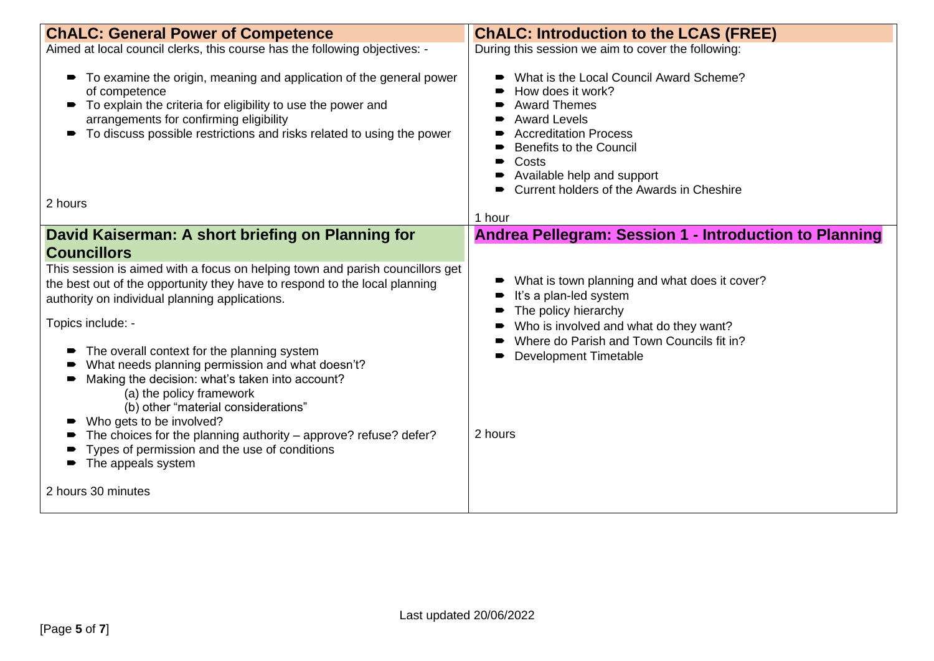| <b>ChALC: General Power of Competence</b>                                                                                                                                                                                                                                                                                                                                                                                                                                                                                                                                                                                                                                                                     | <b>ChALC: Introduction to the LCAS (FREE)</b>                                                                                                                                                                                                                                               |
|---------------------------------------------------------------------------------------------------------------------------------------------------------------------------------------------------------------------------------------------------------------------------------------------------------------------------------------------------------------------------------------------------------------------------------------------------------------------------------------------------------------------------------------------------------------------------------------------------------------------------------------------------------------------------------------------------------------|---------------------------------------------------------------------------------------------------------------------------------------------------------------------------------------------------------------------------------------------------------------------------------------------|
| Aimed at local council clerks, this course has the following objectives: -                                                                                                                                                                                                                                                                                                                                                                                                                                                                                                                                                                                                                                    | During this session we aim to cover the following:                                                                                                                                                                                                                                          |
| • To examine the origin, meaning and application of the general power<br>of competence<br>To explain the criteria for eligibility to use the power and<br>arrangements for confirming eligibility<br>To discuss possible restrictions and risks related to using the power                                                                                                                                                                                                                                                                                                                                                                                                                                    | What is the Local Council Award Scheme?<br>How does it work?<br><b>Award Themes</b><br><b>Award Levels</b><br><b>Accreditation Process</b><br>Benefits to the Council<br>Costs<br>• Available help and support<br>• Current holders of the Awards in Cheshire                               |
| 2 hours                                                                                                                                                                                                                                                                                                                                                                                                                                                                                                                                                                                                                                                                                                       | 1 hour                                                                                                                                                                                                                                                                                      |
| David Kaiserman: A short briefing on Planning for<br><b>Councillors</b><br>This session is aimed with a focus on helping town and parish councillors get<br>the best out of the opportunity they have to respond to the local planning<br>authority on individual planning applications.<br>Topics include: -<br>The overall context for the planning system<br>What needs planning permission and what doesn't?<br>Making the decision: what's taken into account?<br>(a) the policy framework<br>(b) other "material considerations"<br>Who gets to be involved?<br>The choices for the planning authority - approve? refuse? defer?<br>Types of permission and the use of conditions<br>The appeals system | Andrea Pellegram: Session 1 - Introduction to Planning<br>What is town planning and what does it cover?<br>It's a plan-led system<br>The policy hierarchy<br>Who is involved and what do they want?<br>Where do Parish and Town Councils fit in?<br><b>Development Timetable</b><br>2 hours |
| 2 hours 30 minutes                                                                                                                                                                                                                                                                                                                                                                                                                                                                                                                                                                                                                                                                                            |                                                                                                                                                                                                                                                                                             |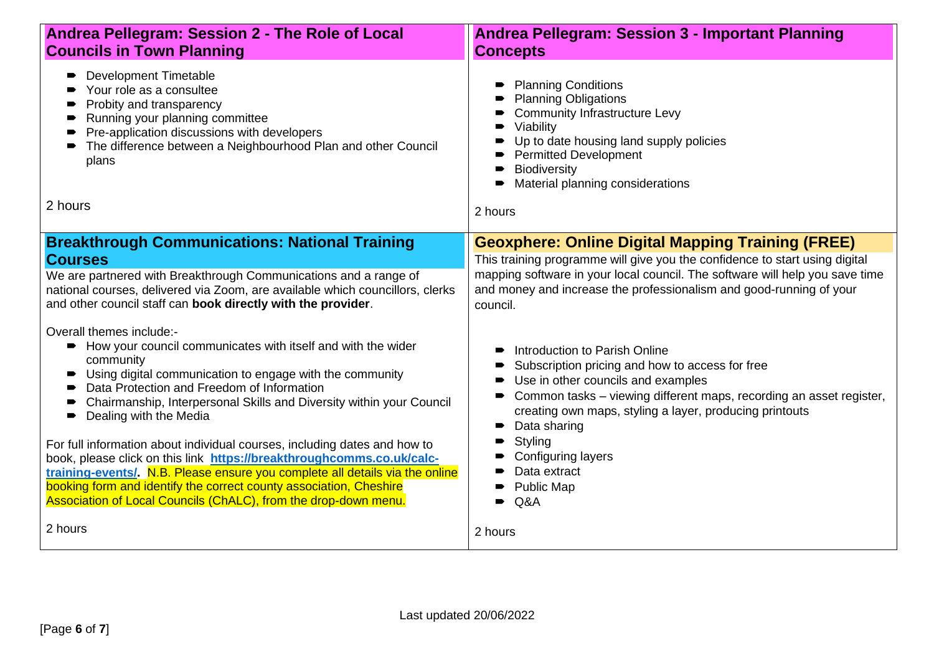| Andrea Pellegram: Session 2 - The Role of Local<br><b>Councils in Town Planning</b>                                                                                                                                                                                                                                                                                                                                                                                                                                                                                                                                                                                                                                | <b>Andrea Pellegram: Session 3 - Important Planning</b><br><b>Concepts</b>                                                                                                                                                                                                                                                                                             |  |  |  |
|--------------------------------------------------------------------------------------------------------------------------------------------------------------------------------------------------------------------------------------------------------------------------------------------------------------------------------------------------------------------------------------------------------------------------------------------------------------------------------------------------------------------------------------------------------------------------------------------------------------------------------------------------------------------------------------------------------------------|------------------------------------------------------------------------------------------------------------------------------------------------------------------------------------------------------------------------------------------------------------------------------------------------------------------------------------------------------------------------|--|--|--|
| <b>Development Timetable</b><br>$\blacksquare$<br>Your role as a consultee<br>$\bullet$<br>Probity and transparency<br>$\bullet$<br>Running your planning committee<br>$\blacksquare$<br>Pre-application discussions with developers<br>The difference between a Neighbourhood Plan and other Council<br>$\blacksquare$<br>plans<br>2 hours                                                                                                                                                                                                                                                                                                                                                                        | <b>Planning Conditions</b><br><b>Planning Obligations</b><br><b>Community Infrastructure Levy</b><br>Viability<br>Up to date housing land supply policies<br>Permitted Development<br>• Biodiversity<br>Material planning considerations<br>2 hours                                                                                                                    |  |  |  |
| <b>Breakthrough Communications: National Training</b>                                                                                                                                                                                                                                                                                                                                                                                                                                                                                                                                                                                                                                                              | <b>Geoxphere: Online Digital Mapping Training (FREE)</b>                                                                                                                                                                                                                                                                                                               |  |  |  |
| <b>Courses</b><br>We are partnered with Breakthrough Communications and a range of<br>national courses, delivered via Zoom, are available which councillors, clerks<br>and other council staff can book directly with the provider.                                                                                                                                                                                                                                                                                                                                                                                                                                                                                | This training programme will give you the confidence to start using digital<br>mapping software in your local council. The software will help you save time<br>and money and increase the professionalism and good-running of your<br>council.                                                                                                                         |  |  |  |
| Overall themes include:-<br>How your council communicates with itself and with the wider<br>community<br>Using digital communication to engage with the community<br>$\blacksquare$<br>Data Protection and Freedom of Information<br>Chairmanship, Interpersonal Skills and Diversity within your Council<br>Dealing with the Media<br>For full information about individual courses, including dates and how to<br>book, please click on this link https://breakthroughcomms.co.uk/calc-<br>training-events/. N.B. Please ensure you complete all details via the online<br>booking form and identify the correct county association, Cheshire<br>Association of Local Councils (ChALC), from the drop-down menu. | Introduction to Parish Online<br>Subscription pricing and how to access for free<br>Use in other councils and examples<br>Common tasks - viewing different maps, recording an asset register,<br>creating own maps, styling a layer, producing printouts<br>Data sharing<br>Styling<br><b>Configuring layers</b><br>Data extract<br><b>Public Map</b><br>$\bullet$ Q&A |  |  |  |
| 2 hours                                                                                                                                                                                                                                                                                                                                                                                                                                                                                                                                                                                                                                                                                                            | 2 hours                                                                                                                                                                                                                                                                                                                                                                |  |  |  |